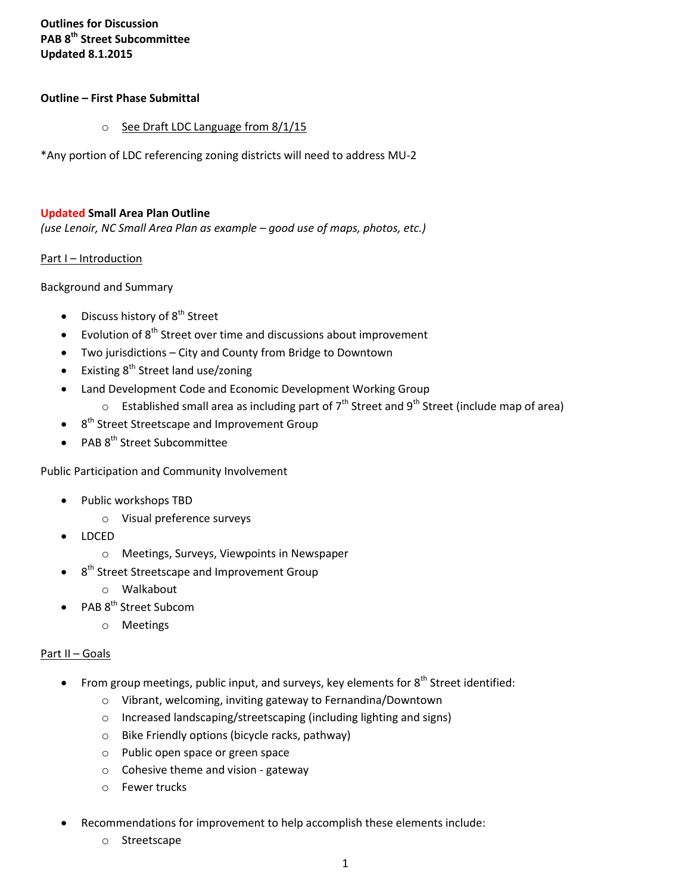# **Outlines for Discussion PAB 8th Street Subcommittee Updated 8.1.2015**

#### **Outline – First Phase Submittal**

o See Draft LDC Language from 8/1/15

\*Any portion of LDC referencing zoning districts will need to address MU-2

#### **Updated Small Area Plan Outline**

*(use Lenoir, NC Small Area Plan as example – good use of maps, photos, etc.)*

#### Part I – Introduction

Background and Summary

- Discuss history of 8<sup>th</sup> Street
- Evolution of 8<sup>th</sup> Street over time and discussions about improvement
- Two jurisdictions City and County from Bridge to Downtown
- Existing 8<sup>th</sup> Street land use/zoning
- Land Development Code and Economic Development Working Group
	- $\circ$  Established small area as including part of 7<sup>th</sup> Street and 9<sup>th</sup> Street (include map of area)
- $\bullet$  8<sup>th</sup> Street Streetscape and Improvement Group
- PAB 8<sup>th</sup> Street Subcommittee

Public Participation and Community Involvement

- Public workshops TBD
	- o Visual preference surveys
- LDCED
	- o Meetings, Surveys, Viewpoints in Newspaper
- $\bullet$  8<sup>th</sup> Street Streetscape and Improvement Group
	- o Walkabout
- PAB 8<sup>th</sup> Street Subcom
	- o Meetings

## Part II – Goals

- From group meetings, public input, and surveys, key elements for  $8<sup>th</sup>$  Street identified:
	- o Vibrant, welcoming, inviting gateway to Fernandina/Downtown
	- o Increased landscaping/streetscaping (including lighting and signs)
	- o Bike Friendly options (bicycle racks, pathway)
	- o Public open space or green space
	- o Cohesive theme and vision gateway
	- o Fewer trucks
- Recommendations for improvement to help accomplish these elements include:
	- o Streetscape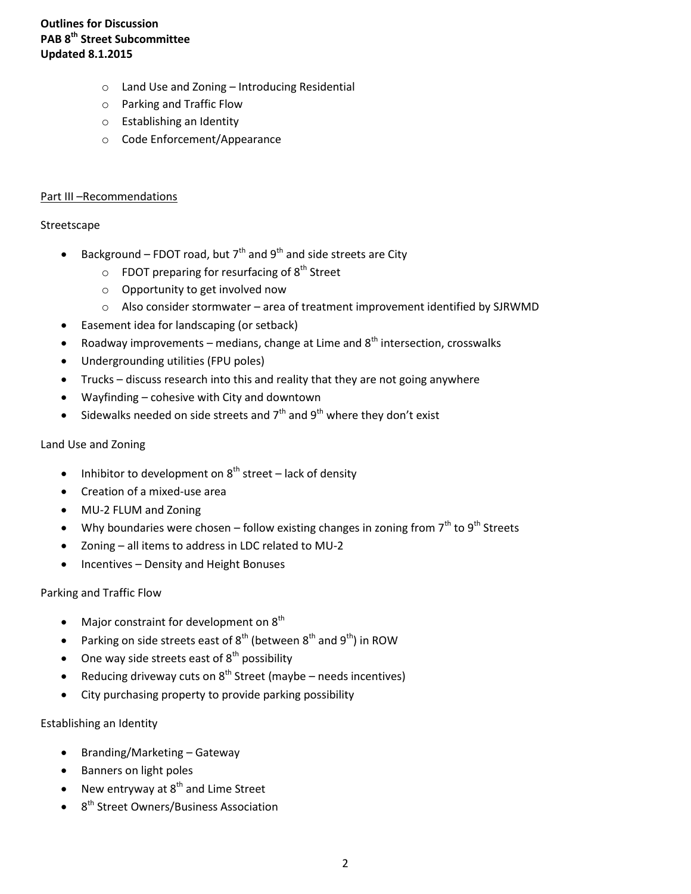## **Outlines for Discussion PAB 8th Street Subcommittee Updated 8.1.2015**

- o Land Use and Zoning Introducing Residential
- o Parking and Traffic Flow
- o Establishing an Identity
- o Code Enforcement/Appearance

## Part III –Recommendations

## Streetscape

- Background FDOT road, but  $7<sup>th</sup>$  and  $9<sup>th</sup>$  and side streets are City
	- $\circ$  FDOT preparing for resurfacing of  $8<sup>th</sup>$  Street
	- o Opportunity to get involved now
	- $\circ$  Also consider stormwater area of treatment improvement identified by SJRWMD
- Easement idea for landscaping (or setback)
- Roadway improvements medians, change at Lime and  $8<sup>th</sup>$  intersection, crosswalks
- Undergrounding utilities (FPU poles)
- Trucks discuss research into this and reality that they are not going anywhere
- Wayfinding cohesive with City and downtown
- Sidewalks needed on side streets and  $7<sup>th</sup>$  and  $9<sup>th</sup>$  where they don't exist

#### Land Use and Zoning

- Inhibitor to development on  $8<sup>th</sup>$  street lack of density
- Creation of a mixed-use area
- MU-2 FLUM and Zoning
- Why boundaries were chosen follow existing changes in zoning from  $7<sup>th</sup>$  to  $9<sup>th</sup>$  Streets
- Zoning all items to address in LDC related to MU-2
- Incentives Density and Height Bonuses

## Parking and Traffic Flow

- Major constraint for development on  $8<sup>th</sup>$
- Parking on side streets east of  $8^{th}$  (between  $8^{th}$  and  $9^{th}$ ) in ROW
- $\bullet$  One way side streets east of  $8<sup>th</sup>$  possibility
- Reducing driveway cuts on  $8<sup>th</sup>$  Street (maybe needs incentives)
- City purchasing property to provide parking possibility

## Establishing an Identity

- Branding/Marketing Gateway
- Banners on light poles
- New entryway at  $8<sup>th</sup>$  and Lime Street
- 8<sup>th</sup> Street Owners/Business Association